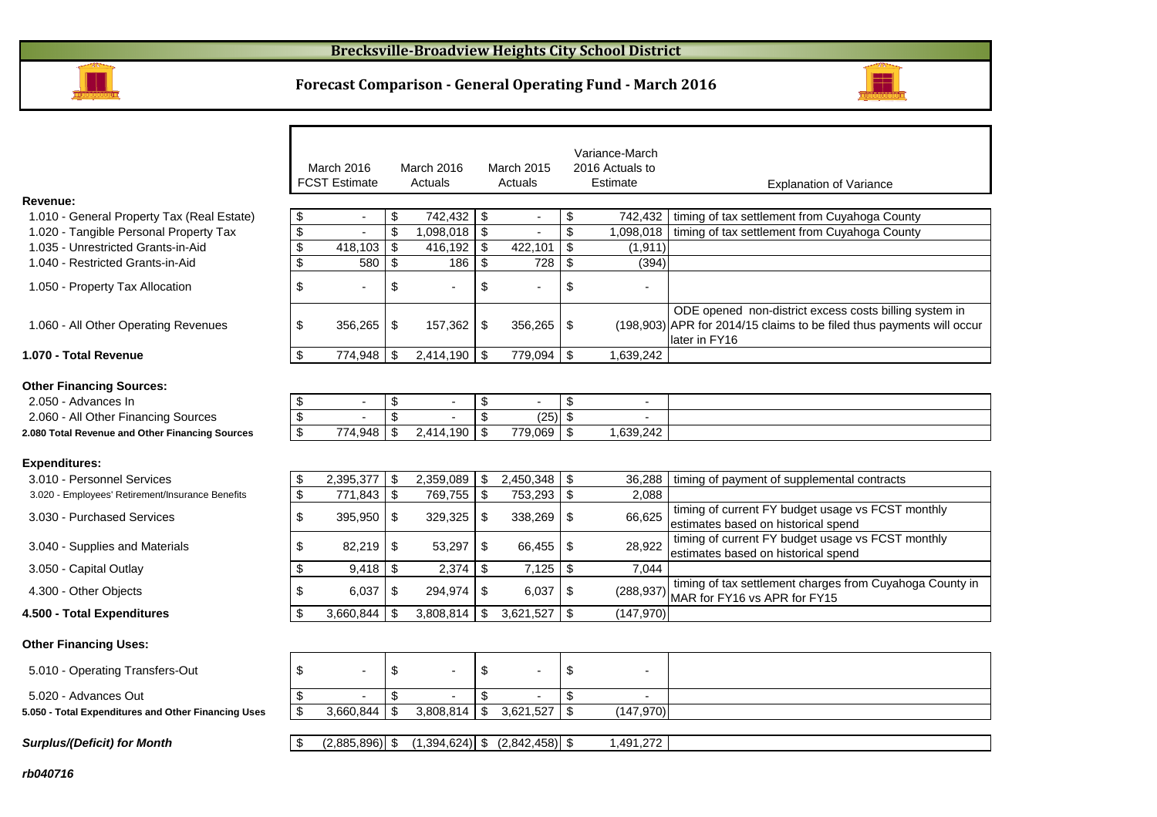

#### **Forecast Comparison - General Operating Fund - March 2016**



|                                                     |                           | March 2016<br><b>FCST Estimate</b> |                           | March 2016<br>Actuals |                           | March 2015<br>Actuals    |                           | Variance-March<br>2016 Actuals to<br>Estimate | <b>Explanation of Variance</b>                                                                                                                   |
|-----------------------------------------------------|---------------------------|------------------------------------|---------------------------|-----------------------|---------------------------|--------------------------|---------------------------|-----------------------------------------------|--------------------------------------------------------------------------------------------------------------------------------------------------|
| Revenue:                                            |                           |                                    |                           |                       |                           |                          |                           |                                               |                                                                                                                                                  |
| 1.010 - General Property Tax (Real Estate)          | \$                        | $\blacksquare$                     | \$                        | 742,432   \$          |                           | $\overline{\phantom{a}}$ | \$                        | 742,432                                       | timing of tax settlement from Cuyahoga County                                                                                                    |
| 1.020 - Tangible Personal Property Tax              | \$                        |                                    | $\mathfrak{S}$            | 1,098,018             | $\sqrt[6]{\frac{1}{2}}$   |                          | $\mathfrak{L}$            | 1.098.018                                     | timing of tax settlement from Cuyahoga County                                                                                                    |
| 1.035 - Unrestricted Grants-in-Aid                  | \$                        | 418,103                            | \$                        | 416,192               | $\boldsymbol{\mathsf{S}}$ | 422,101                  | $\mathfrak{s}$            | (1, 911)                                      |                                                                                                                                                  |
| 1.040 - Restricted Grants-in-Aid                    | \$                        | 580                                | \$                        | 186                   | $\boldsymbol{\mathsf{S}}$ | 728                      | $\mathfrak{s}$            | (394)                                         |                                                                                                                                                  |
| 1.050 - Property Tax Allocation                     | \$                        |                                    | \$                        |                       | \$                        |                          | \$                        |                                               |                                                                                                                                                  |
| 1.060 - All Other Operating Revenues                | \$                        | 356,265                            | \$                        | 157,362               | \$                        | 356,265                  | \$                        |                                               | ODE opened non-district excess costs billing system in<br>(198,903) APR for 2014/15 claims to be filed thus payments will occur<br>later in FY16 |
| 1.070 - Total Revenue                               | \$                        | 774,948                            | \$                        | $2,414,190$ \$        |                           | 779,094                  | \$                        | 1,639,242                                     |                                                                                                                                                  |
| <b>Other Financing Sources:</b>                     |                           |                                    |                           |                       |                           |                          |                           |                                               |                                                                                                                                                  |
| 2.050 - Advances In                                 | \$                        | $\blacksquare$                     | \$                        |                       | \$                        | $\blacksquare$           | \$                        | $\blacksquare$                                |                                                                                                                                                  |
| 2.060 - All Other Financing Sources                 | \$                        |                                    | $\mathfrak{S}$            |                       | \$                        | (25)                     | $\mathfrak{s}$            |                                               |                                                                                                                                                  |
| 2.080 Total Revenue and Other Financing Sources     | $\overline{\mathcal{S}}$  | 774,948                            | \$                        | 2,414,190             | \$                        | 779,069                  | $\mathfrak{L}$            | 1,639,242                                     |                                                                                                                                                  |
| <b>Expenditures:</b>                                |                           |                                    |                           |                       |                           |                          |                           |                                               |                                                                                                                                                  |
| 3.010 - Personnel Services                          | \$                        | 2,395,377                          | \$                        | 2,359,089             | \$                        | 2,450,348                | \$                        | 36,288                                        | timing of payment of supplemental contracts                                                                                                      |
| 3.020 - Employees' Retirement/Insurance Benefits    | $\boldsymbol{\mathsf{S}}$ | 771,843                            | $\boldsymbol{\mathsf{S}}$ | 769,755               | $\boldsymbol{\mathsf{S}}$ | 753,293                  | $\boldsymbol{\mathsf{S}}$ | 2,088                                         |                                                                                                                                                  |
| 3.030 - Purchased Services                          | \$                        | 395,950                            | \$                        | 329,325               | \$                        | 338,269                  | \$                        | 66,625                                        | timing of current FY budget usage vs FCST monthly<br>estimates based on historical spend                                                         |
| 3.040 - Supplies and Materials                      | \$                        | 82,219                             | \$                        | 53,297                | \$                        | 66,455                   | \$                        | 28,922                                        | timing of current FY budget usage vs FCST monthly<br>lestimates based on historical spend                                                        |
| 3.050 - Capital Outlay                              | \$                        | 9,418                              | -\$                       |                       |                           | 7,125                    | \$                        | 7,044                                         |                                                                                                                                                  |
| 4.300 - Other Objects                               | \$                        | 6,037                              | \$                        | 294,974               | \$                        | 6,037                    | \$                        | (288, 937)                                    | timing of tax settlement charges from Cuyahoga County in<br>MAR for FY16 vs APR for FY15                                                         |
| 4.500 - Total Expenditures                          | \$                        | 3,660,844                          | \$                        | 3,808,814             | \$                        | 3,621,527                | \$                        | (147, 970)                                    |                                                                                                                                                  |
| <b>Other Financing Uses:</b>                        |                           |                                    |                           |                       |                           |                          |                           |                                               |                                                                                                                                                  |
| 5.010 - Operating Transfers-Out                     | \$                        | $\overline{a}$                     | \$                        |                       | \$                        |                          | \$                        |                                               |                                                                                                                                                  |
| 5.020 - Advances Out                                | \$                        |                                    | \$                        |                       | \$                        |                          | \$                        |                                               |                                                                                                                                                  |
| 5.050 - Total Expenditures and Other Financing Uses | \$                        | 3.660.844                          | \$                        | 3.808.814             | \$                        | 3,621,527                | $\mathfrak{L}$            | (147, 970)                                    |                                                                                                                                                  |

 $\boxed{\$}$  (2,885,896) \\  $\$$  (1,394,624) \ \  $\$$  (2,842,458) \ \  $\$$  1,491,272

**rb040716**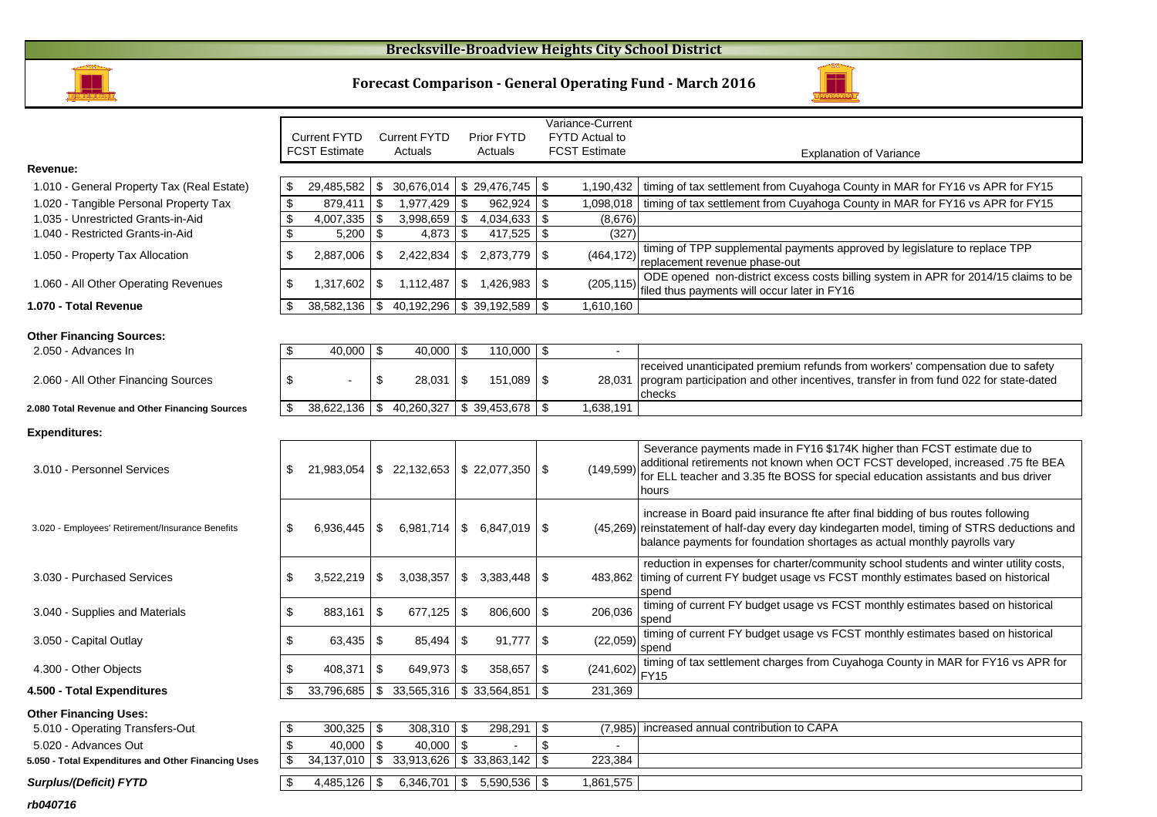#### **Brecksville-Broadview Heights City School District**





|                                                     |                           |                      |               |                                         |                           |                             |                           | Variance-Current      |                                                                                                                                                                                                                                                                |
|-----------------------------------------------------|---------------------------|----------------------|---------------|-----------------------------------------|---------------------------|-----------------------------|---------------------------|-----------------------|----------------------------------------------------------------------------------------------------------------------------------------------------------------------------------------------------------------------------------------------------------------|
|                                                     |                           | <b>Current FYTD</b>  |               | <b>Current FYTD</b>                     |                           | Prior FYTD                  |                           | <b>FYTD Actual to</b> |                                                                                                                                                                                                                                                                |
|                                                     |                           | <b>FCST Estimate</b> |               | Actuals                                 |                           | Actuals                     |                           | <b>FCST Estimate</b>  | <b>Explanation of Variance</b>                                                                                                                                                                                                                                 |
| Revenue:                                            |                           |                      |               |                                         |                           |                             |                           |                       |                                                                                                                                                                                                                                                                |
| 1.010 - General Property Tax (Real Estate)          | \$                        | 29,485,582           | \$            | 30,676,014                              |                           | \$29,476,745                | - \$                      | 1,190,432             | timing of tax settlement from Cuyahoga County in MAR for FY16 vs APR for FY15                                                                                                                                                                                  |
| 1.020 - Tangible Personal Property Tax              | $\boldsymbol{\mathsf{S}}$ | 879,411              | \$            | 1,977,429                               | \$                        | 962,924                     | \$                        | 1,098,018             | timing of tax settlement from Cuyahoga County in MAR for FY16 vs APR for FY15                                                                                                                                                                                  |
| 1.035 - Unrestricted Grants-in-Aid                  | $\boldsymbol{\mathsf{S}}$ | 4.007.335            | \$            | 3.998.659                               | \$                        | 4.034.633                   | $\mathfrak{S}$            | (8.676)               |                                                                                                                                                                                                                                                                |
| 1.040 - Restricted Grants-in-Aid                    | $\overline{\mathbf{e}}$   | 5,200                | \$            | 4,873                                   | \$                        | 417,525                     | $\mathfrak{S}$            | (327)                 |                                                                                                                                                                                                                                                                |
| 1.050 - Property Tax Allocation                     | \$                        | 2,887,006            | \$            | 2,422,834                               |                           | \$2,873,779                 | $\sqrt[6]{3}$             | (464, 172)            | timing of TPP supplemental payments approved by legislature to replace TPP<br>replacement revenue phase-out                                                                                                                                                    |
| 1.060 - All Other Operating Revenues                | $\$\$                     | 1,317,602            | \$            | 1,112,487                               | $\boldsymbol{\mathsf{S}}$ | 1,426,983                   | \$                        | (205, 115)            | ODE opened non-district excess costs billing system in APR for 2014/15 claims to be<br>filed thus payments will occur later in FY16                                                                                                                            |
| 1.070 - Total Revenue                               | \$                        | 38,582,136           | \$            | 40,192,296                              |                           | \$39,192,589                | -\$                       | 1,610,160             |                                                                                                                                                                                                                                                                |
| <b>Other Financing Sources:</b>                     |                           |                      |               |                                         |                           |                             |                           |                       |                                                                                                                                                                                                                                                                |
| 2.050 - Advances In                                 | \$                        | 40,000               | \$            | $40,000$   \$                           |                           | 110,000                     | -\$                       | $\sim$                |                                                                                                                                                                                                                                                                |
| 2.060 - All Other Financing Sources                 | \$                        |                      | \$            | $28,031$ \ \$                           |                           | 151,089                     | \$                        | 28,031                | received unanticipated premium refunds from workers' compensation due to safety<br>program participation and other incentives, transfer in from fund 022 for state-dated<br>checks                                                                             |
| 2.080 Total Revenue and Other Financing Sources     | -\$                       | 38,622,136           | \$            | 40,260,327                              |                           | \$39,453,678                | -\$                       | 1,638,191             |                                                                                                                                                                                                                                                                |
| <b>Expenditures:</b>                                |                           |                      |               |                                         |                           |                             |                           |                       |                                                                                                                                                                                                                                                                |
| 3.010 - Personnel Services                          | \$                        | 21,983,054           |               | $\frac{1}{2}$ 22,132,653 \ \ 22,077,350 |                           |                             | -\$                       | (149, 599)            | Severance payments made in FY16 \$174K higher than FCST estimate due to<br>additional retirements not known when OCT FCST developed, increased .75 fte BEA<br>for ELL teacher and 3.35 fte BOSS for special education assistants and bus driver<br>hours       |
| 3.020 - Employees' Retirement/Insurance Benefits    | \$                        | 6,936,445            | \$            |                                         |                           | $6,981,714$   \$ 6,847,019  | l \$                      |                       | increase in Board paid insurance fte after final bidding of bus routes following<br>(45,269) reinstatement of half-day every day kindegarten model, timing of STRS deductions and<br>balance payments for foundation shortages as actual monthly payrolls vary |
| 3.030 - Purchased Services                          | \$                        | 3,522,219            | \$            | 3,038,357                               | $\mathfrak{S}$            | 3,383,448                   | \$                        |                       | reduction in expenses for charter/community school students and winter utility costs,<br>483,862 timing of current FY budget usage vs FCST monthly estimates based on historical<br>spend                                                                      |
| 3.040 - Supplies and Materials                      | $\$\$                     | 883,161              | \$            | $677,125$ \$                            |                           | 806,600                     | $\boldsymbol{\mathsf{S}}$ | 206,036               | timing of current FY budget usage vs FCST monthly estimates based on historical<br>spend                                                                                                                                                                       |
| 3.050 - Capital Outlay                              | \$                        | 63,435               | \$            | $85,494$ \$                             |                           | 91,777                      | \$                        | (22,059)              | timing of current FY budget usage vs FCST monthly estimates based on historical<br>spend                                                                                                                                                                       |
| 4.300 - Other Objects                               | \$                        | 408,371              | \$            | $649.973$   \$                          |                           | 358,657                     | $\sqrt[6]{3}$             | (241, 602)            | timing of tax settlement charges from Cuyahoga County in MAR for FY16 vs APR for<br><b>FY15</b>                                                                                                                                                                |
| 4.500 - Total Expenditures                          | .ፍ                        | 33,796,685           | \$            | 33,565,316 \$ 33,564,851                |                           |                             | \$                        | 231,369               |                                                                                                                                                                                                                                                                |
| <b>Other Financing Uses:</b>                        |                           |                      |               |                                         |                           |                             |                           |                       |                                                                                                                                                                                                                                                                |
| 5.010 - Operating Transfers-Out                     | \$                        | 300,325              | \$            | $308,310$ \$                            |                           | 298,291                     | \$                        | (7, 985)              | increased annual contribution to CAPA                                                                                                                                                                                                                          |
| 5.020 - Advances Out                                | $\sqrt[6]{\frac{1}{2}}$   | 40,000               | $\mathfrak s$ | 40,000 $\frac{1}{3}$                    |                           |                             | \$                        |                       |                                                                                                                                                                                                                                                                |
| 5.050 - Total Expenditures and Other Financing Uses | \$                        | 34,137,010           |               | $$33,913,626 \  \$ $$33,863,142$        |                           |                             | -\$                       | 223,384               |                                                                                                                                                                                                                                                                |
| <b>Surplus/(Deficit) FYTD</b>                       | \$                        | 4,485,126            | \$            |                                         |                           | $6,346,701$ \$ 5,590,536 \$ |                           | 1,861,575             |                                                                                                                                                                                                                                                                |

**rb040716**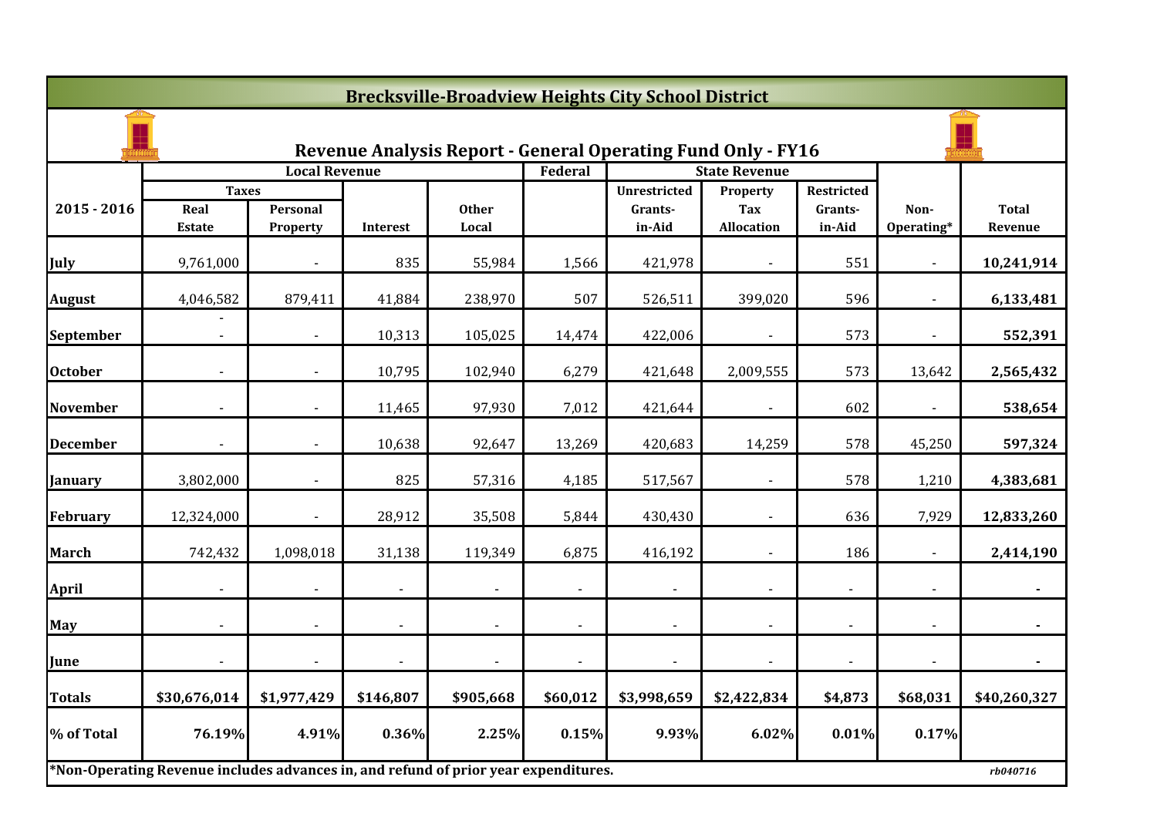|                 | <b>Brecksville-Broadview Heights City School District</b>                           |                          |           |                       |                |                                                              |                                 |                   |                    |                         |  |  |
|-----------------|-------------------------------------------------------------------------------------|--------------------------|-----------|-----------------------|----------------|--------------------------------------------------------------|---------------------------------|-------------------|--------------------|-------------------------|--|--|
|                 |                                                                                     |                          |           |                       |                | Revenue Analysis Report - General Operating Fund Only - FY16 |                                 |                   |                    |                         |  |  |
|                 |                                                                                     | <b>Local Revenue</b>     |           |                       | Federal        |                                                              | <b>State Revenue</b>            |                   |                    |                         |  |  |
|                 | <b>Taxes</b>                                                                        |                          |           |                       |                | <b>Unrestricted</b>                                          | Property                        | Restricted        |                    |                         |  |  |
| $2015 - 2016$   | Real<br><b>Estate</b>                                                               | Personal<br>Property     | Interest  | <b>Other</b><br>Local |                | Grants-<br>in-Aid                                            | <b>Tax</b><br><b>Allocation</b> | Grants-<br>in-Aid | Non-<br>Operating* | <b>Total</b><br>Revenue |  |  |
| July            | 9,761,000                                                                           |                          | 835       | 55,984                | 1,566          | 421,978                                                      |                                 | 551               |                    | 10,241,914              |  |  |
| <b>August</b>   | 4,046,582                                                                           | 879,411                  | 41,884    | 238,970               | 507            | 526,511                                                      | 399,020                         | 596               |                    | 6,133,481               |  |  |
| September       | $\blacksquare$                                                                      | $\blacksquare$           | 10,313    | 105,025               | 14,474         | 422,006                                                      | $\blacksquare$                  | 573               |                    | 552,391                 |  |  |
| <b>October</b>  |                                                                                     |                          | 10,795    | 102,940               | 6,279          | 421,648                                                      | 2,009,555                       | 573               | 13,642             | 2,565,432               |  |  |
| <b>November</b> |                                                                                     |                          | 11,465    | 97,930                | 7,012          | 421,644                                                      |                                 | 602               |                    | 538,654                 |  |  |
| <b>December</b> |                                                                                     |                          | 10,638    | 92,647                | 13,269         | 420,683                                                      | 14,259                          | 578               | 45,250             | 597,324                 |  |  |
| January         | 3,802,000                                                                           |                          | 825       | 57,316                | 4,185          | 517,567                                                      |                                 | 578               | 1,210              | 4,383,681               |  |  |
| <b>February</b> | 12,324,000                                                                          | $\overline{\phantom{a}}$ | 28,912    | 35,508                | 5,844          | 430,430                                                      | $\blacksquare$                  | 636               | 7,929              | 12,833,260              |  |  |
| <b>March</b>    | 742,432                                                                             | 1,098,018                | 31,138    | 119,349               | 6,875          | 416,192                                                      |                                 | 186               |                    | 2,414,190               |  |  |
| <b>April</b>    |                                                                                     |                          |           |                       |                |                                                              |                                 |                   |                    |                         |  |  |
| May             |                                                                                     |                          |           |                       |                | $\blacksquare$                                               |                                 |                   |                    |                         |  |  |
| June            |                                                                                     |                          |           |                       | $\blacksquare$ | $\blacksquare$                                               |                                 |                   |                    |                         |  |  |
| <b>Totals</b>   | \$30,676,014                                                                        | \$1,977,429              | \$146,807 | \$905,668             | \$60,012       | \$3,998,659                                                  | \$2,422,834                     | \$4,873           | \$68,031           | \$40,260,327            |  |  |
| % of Total      | 76.19%                                                                              | 4.91%                    | 0.36%     | 2.25%                 | 0.15%          | 9.93%                                                        | 6.02%                           | 0.01%             | 0.17%              |                         |  |  |
|                 | *Non-Operating Revenue includes advances in, and refund of prior year expenditures. |                          |           |                       |                |                                                              |                                 |                   |                    | rb040716                |  |  |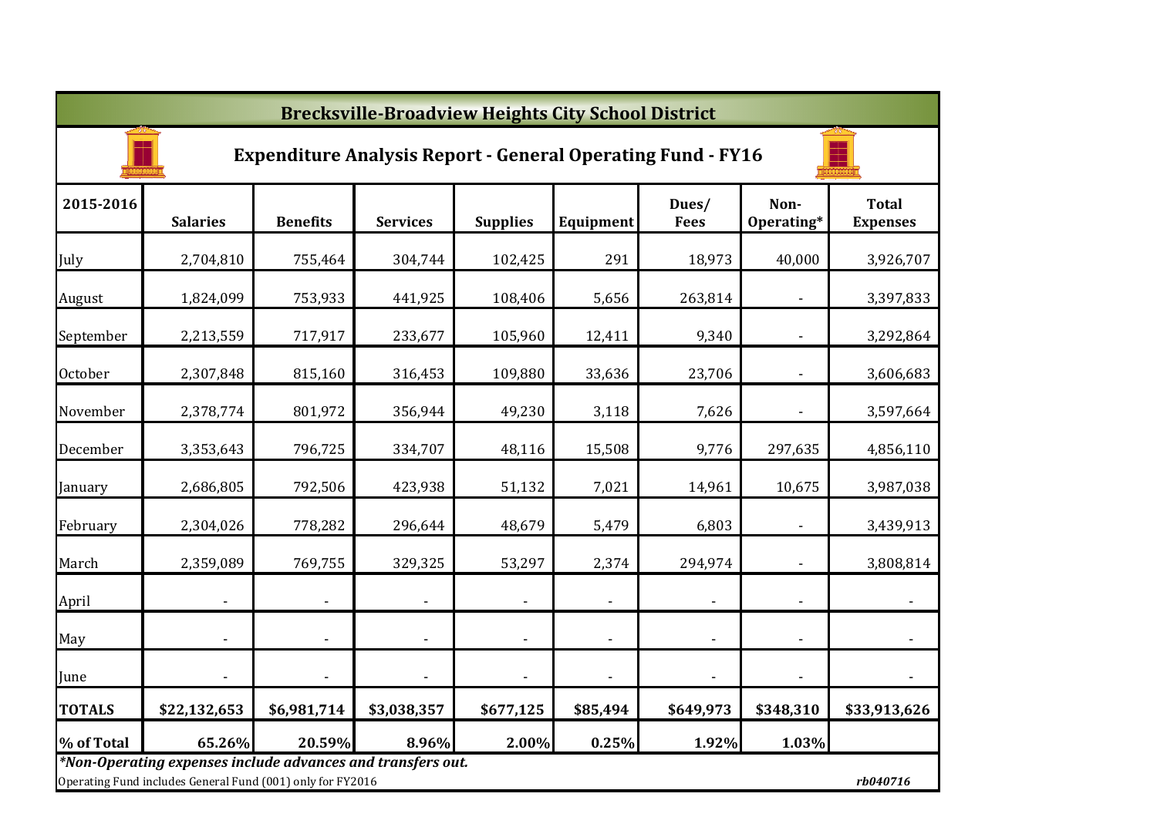|                | <b>Brecksville-Broadview Heights City School District</b>                                                                 |                          |                              |                          |                          |                          |                              |                                 |  |  |  |  |
|----------------|---------------------------------------------------------------------------------------------------------------------------|--------------------------|------------------------------|--------------------------|--------------------------|--------------------------|------------------------------|---------------------------------|--|--|--|--|
|                | <b>Expenditure Analysis Report - General Operating Fund - FY16</b>                                                        |                          |                              |                          |                          |                          |                              |                                 |  |  |  |  |
| 2015-2016      | <b>Salaries</b>                                                                                                           | <b>Benefits</b>          | <b>Services</b>              | <b>Supplies</b>          | Equipment                | Dues/<br><b>Fees</b>     | Non-<br>Operating*           | <b>Total</b><br><b>Expenses</b> |  |  |  |  |
| July           | 2,704,810                                                                                                                 | 755,464                  | 304,744                      | 102,425                  | 291                      | 18,973                   | 40,000                       | 3,926,707                       |  |  |  |  |
| August         | 1,824,099                                                                                                                 | 753,933                  | 441,925                      | 108,406                  | 5,656                    | 263,814                  |                              | 3,397,833                       |  |  |  |  |
| September      | 2,213,559                                                                                                                 | 717,917                  | 233,677                      | 105,960                  | 12,411                   | 9,340                    |                              | 3,292,864                       |  |  |  |  |
| <b>October</b> | 2,307,848                                                                                                                 | 815,160                  | 316,453                      | 109,880                  | 33,636                   | 23,706                   |                              | 3,606,683                       |  |  |  |  |
| November       | 2,378,774                                                                                                                 | 801,972                  | 356,944                      | 49,230                   | 3,118                    | 7,626                    |                              | 3,597,664                       |  |  |  |  |
| December       | 3,353,643                                                                                                                 | 796,725                  | 334,707                      | 48,116                   | 15,508                   | 9,776                    | 297,635                      | 4,856,110                       |  |  |  |  |
| January        | 2,686,805                                                                                                                 | 792,506                  | 423,938                      | 51,132                   | 7,021                    | 14,961                   | 10,675                       | 3,987,038                       |  |  |  |  |
| February       | 2,304,026                                                                                                                 | 778,282                  | 296,644                      | 48,679                   | 5,479                    | 6,803                    |                              | 3,439,913                       |  |  |  |  |
| March          | 2,359,089                                                                                                                 | 769,755                  | 329,325                      | 53,297                   | 2,374                    | 294,974                  | $\overline{\phantom{a}}$     | 3,808,814                       |  |  |  |  |
| April          |                                                                                                                           | $\overline{\phantom{a}}$ | $\blacksquare$               | $\overline{\phantom{a}}$ | $\blacksquare$           | $\blacksquare$           | $\blacksquare$               |                                 |  |  |  |  |
| May            |                                                                                                                           | ٠                        | $\qquad \qquad \blacksquare$ | $\blacksquare$           | $\overline{\phantom{a}}$ | $\overline{\phantom{a}}$ | $\qquad \qquad \blacksquare$ |                                 |  |  |  |  |
| June           |                                                                                                                           |                          | $\overline{\phantom{a}}$     | $\overline{\phantom{a}}$ | $\blacksquare$           | $\blacksquare$           | $\overline{\phantom{a}}$     |                                 |  |  |  |  |
| <b>TOTALS</b>  | \$22,132,653                                                                                                              | \$6,981,714              | \$3,038,357                  | \$677,125                | \$85,494                 | \$649,973                | \$348,310                    | \$33,913,626                    |  |  |  |  |
| % of Total     | 65.26%                                                                                                                    | 20.59%                   | 8.96%                        | 2.00%                    | 0.25%                    | 1.92%                    | 1.03%                        |                                 |  |  |  |  |
|                | *Non-Operating expenses include advances and transfers out.<br>Operating Fund includes General Fund (001) only for FY2016 |                          |                              |                          |                          |                          |                              | rb040716                        |  |  |  |  |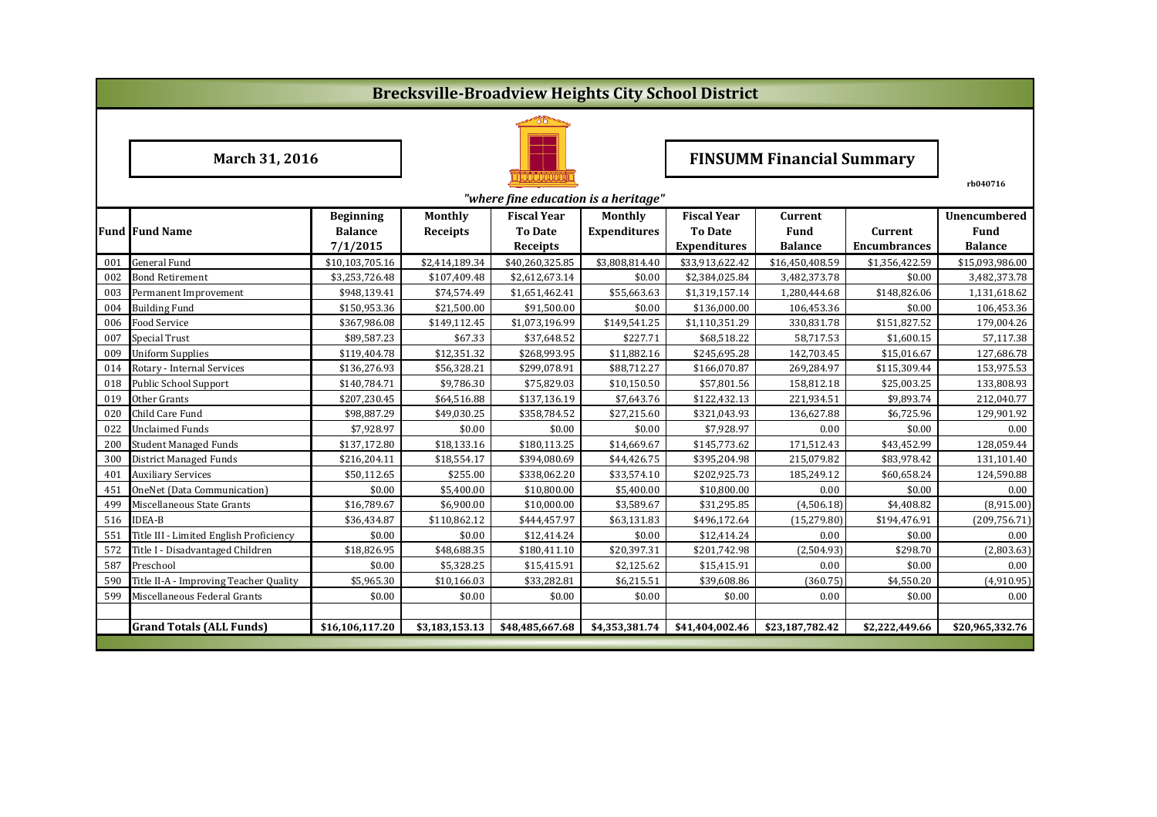|                                      | <b>Brecksville-Broadview Heights City School District</b> |                  |                 |                    |                     |                     |                                  |                     |                     |  |  |  |
|--------------------------------------|-----------------------------------------------------------|------------------|-----------------|--------------------|---------------------|---------------------|----------------------------------|---------------------|---------------------|--|--|--|
|                                      |                                                           |                  |                 |                    |                     |                     |                                  |                     |                     |  |  |  |
|                                      | March 31, 2016                                            |                  |                 |                    |                     |                     | <b>FINSUMM Financial Summary</b> |                     |                     |  |  |  |
| "where fine education is a heritage" |                                                           |                  |                 |                    |                     |                     |                                  |                     |                     |  |  |  |
|                                      |                                                           | <b>Beginning</b> | <b>Monthly</b>  | <b>Fiscal Year</b> | Monthly             | <b>Fiscal Year</b>  | <b>Current</b>                   |                     | <b>Unencumbered</b> |  |  |  |
|                                      | <b>Fund Fund Name</b>                                     | <b>Balance</b>   | <b>Receipts</b> | <b>To Date</b>     | <b>Expenditures</b> | <b>To Date</b>      | <b>Fund</b>                      | Current             | Fund                |  |  |  |
|                                      |                                                           | 7/1/2015         |                 | Receipts           |                     | <b>Expenditures</b> | <b>Balance</b>                   | <b>Encumbrances</b> | <b>Balance</b>      |  |  |  |
| 001                                  | <b>General Fund</b>                                       | \$10,103,705.16  | \$2,414,189.34  | \$40,260,325.85    | \$3,808,814.40      | \$33,913,622.42     | \$16,450,408.59                  | \$1,356,422.59      | \$15,093,986.00     |  |  |  |
| 002                                  | Bond Retirement                                           | \$3,253,726.48   | \$107,409.48    | \$2,612,673.14     | \$0.00              | \$2,384,025.84      | 3,482,373.78                     | \$0.00              | 3,482,373.78        |  |  |  |
| 003                                  | Permanent Improvement                                     | \$948,139.41     | \$74,574.49     | \$1,651,462.41     | \$55,663.63         | \$1,319,157.14      | 1,280,444.68                     | \$148,826.06        | 1,131,618.62        |  |  |  |
| 004                                  | <b>Building Fund</b>                                      | \$150,953.36     | \$21,500.00     | \$91,500.00        | \$0.00              | \$136,000.00        | 106,453.36                       | \$0.00              | 106,453.36          |  |  |  |
| 006                                  | Food Service                                              | \$367,986.08     | \$149,112.45    | \$1,073,196.99     | \$149,541.25        | \$1,110,351.29      | 330,831.78                       | \$151,827.52        | 179,004.26          |  |  |  |
| 007                                  | <b>Special Trust</b>                                      | \$89,587.23      | \$67.33         | \$37,648.52        | \$227.71            | \$68,518.22         | 58,717.53                        | \$1,600.15          | 57,117.38           |  |  |  |
| 009                                  | <b>Uniform Supplies</b>                                   | \$119,404.78     | \$12,351.32     | \$268,993.95       | \$11,882.16         | \$245,695.28        | 142,703.45                       | \$15,016.67         | 127,686.78          |  |  |  |
| 014                                  | Rotary - Internal Services                                | \$136,276.93     | \$56,328.21     | \$299,078.91       | \$88,712.27         | \$166,070.87        | 269,284.97                       | \$115,309.44        | 153,975.53          |  |  |  |
| 018                                  | Public School Support                                     | \$140,784.71     | \$9,786.30      | \$75,829.03        | \$10,150.50         | \$57,801.56         | 158,812.18                       | \$25,003.25         | 133,808.93          |  |  |  |
| 019                                  | Other Grants                                              | \$207,230.45     | \$64,516.88     | \$137,136.19       | \$7,643.76          | \$122,432.13        | 221,934.51                       | \$9,893.74          | 212,040.77          |  |  |  |
| 020                                  | Child Care Fund                                           | \$98,887.29      | \$49,030.25     | \$358,784.52       | \$27,215.60         | \$321,043.93        | 136,627.88                       | \$6,725.96          | 129,901.92          |  |  |  |
| 022                                  | Unclaimed Funds                                           | \$7,928.97       | \$0.00          | \$0.00             | \$0.00              | \$7,928.97          | 0.00                             | \$0.00              | 0.00                |  |  |  |
| 200                                  | <b>Student Managed Funds</b>                              | \$137,172.80     | \$18,133.16     | \$180,113.25       | \$14,669.67         | \$145,773.62        | 171,512.43                       | \$43,452.99         | 128,059.44          |  |  |  |
| 300                                  | District Managed Funds                                    | \$216,204.11     | \$18,554.17     | \$394,080.69       | \$44,426.75         | \$395,204.98        | 215,079.82                       | \$83,978.42         | 131,101.40          |  |  |  |
| 401                                  | <b>Auxiliary Services</b>                                 | \$50,112.65      | \$255.00        | \$338,062.20       | \$33,574.10         | \$202,925.73        | 185,249.12                       | \$60,658.24         | 124,590.88          |  |  |  |
| 451                                  | OneNet (Data Communication)                               | \$0.00           | \$5,400.00      | \$10,800.00        | \$5,400.00          | \$10,800.00         | 0.00                             | \$0.00              | 0.00                |  |  |  |
| 499                                  | Miscellaneous State Grants                                | \$16,789.67      | \$6,900.00      | \$10,000.00        | \$3,589.67          | \$31,295.85         | (4,506.18)                       | \$4,408.82          | (8,915.00)          |  |  |  |
| 516                                  | <b>IDEA-B</b>                                             | \$36,434.87      | \$110,862.12    | \$444,457.97       | \$63,131.83         | \$496,172.64        | (15, 279.80)                     | \$194,476.91        | (209, 756.71)       |  |  |  |
| 551                                  | Title III - Limited English Proficiency                   | \$0.00           | \$0.00          | \$12,414.24        | \$0.00              | \$12,414.24         | 0.00                             | \$0.00              | 0.00                |  |  |  |
| 572                                  | Title I - Disadvantaged Children                          | \$18,826.95      | \$48,688.35     | \$180,411.10       | \$20,397.31         | \$201,742.98        | (2,504.93)                       | \$298.70            | (2,803.63)          |  |  |  |
| 587                                  | Preschool                                                 | \$0.00           | \$5,328.25      | \$15,415.91        | \$2,125.62          | \$15,415.91         | 0.00                             | \$0.00              | 0.00                |  |  |  |
| 590                                  | Title II-A - Improving Teacher Quality                    | \$5,965.30       | \$10,166.03     | \$33,282.81        | \$6,215.51          | \$39,608.86         | (360.75)                         | \$4,550.20          | (4,910.95)          |  |  |  |
| 599                                  | Miscellaneous Federal Grants                              | \$0.00           | \$0.00          | \$0.00             | \$0.00              | \$0.00              | 0.00                             | \$0.00              | 0.00                |  |  |  |
|                                      |                                                           |                  |                 |                    |                     |                     |                                  |                     |                     |  |  |  |
|                                      | <b>Grand Totals (ALL Funds)</b>                           | \$16,106,117.20  | \$3,183,153.13  | \$48,485,667.68    | \$4,353,381.74      | \$41,404,002.46     | \$23,187,782.42                  | \$2,222,449.66      | \$20,965,332.76     |  |  |  |
|                                      |                                                           |                  |                 |                    |                     |                     |                                  |                     |                     |  |  |  |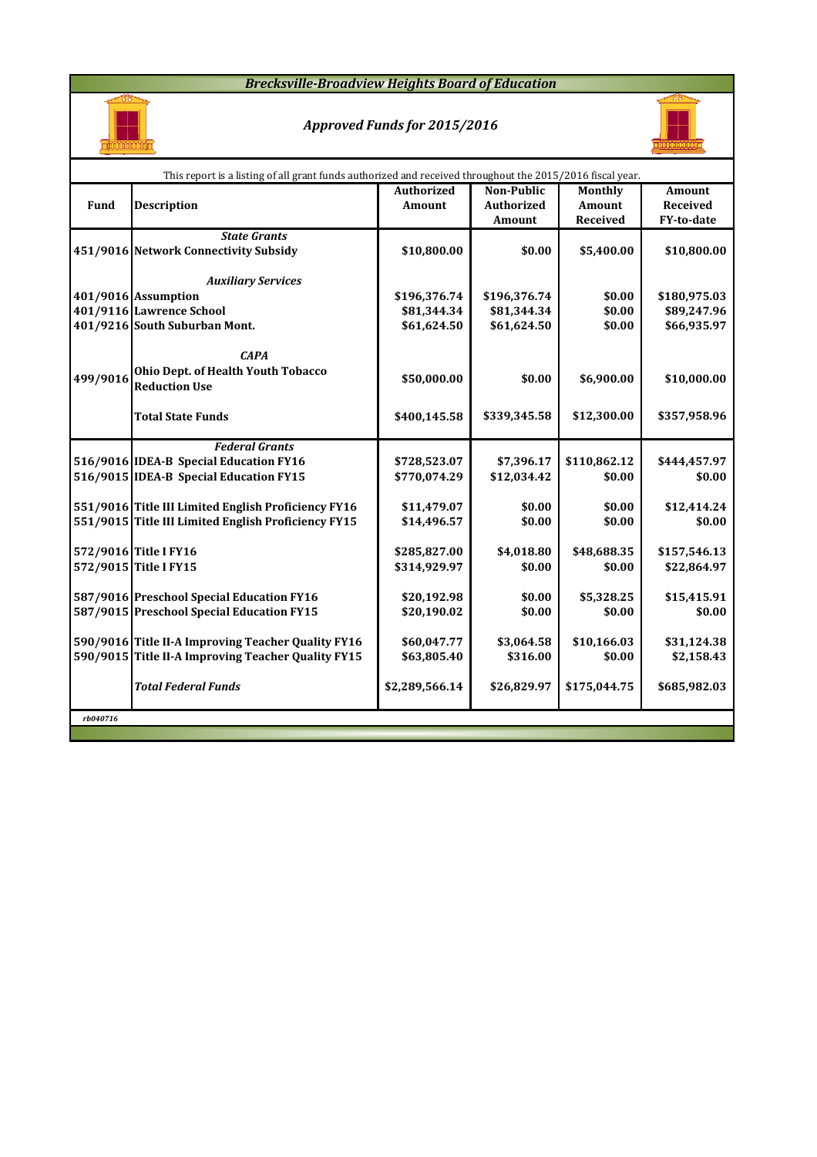### *Brecksville-Broadview Heights Board of Education*



## *Approved Funds for 2015/2016*



|          | This report is a listing of all grant funds authorized and received throughout the 2015/2016 fiscal year. |                   |                   |              |                 |  |  |  |  |  |  |
|----------|-----------------------------------------------------------------------------------------------------------|-------------------|-------------------|--------------|-----------------|--|--|--|--|--|--|
|          |                                                                                                           | <b>Authorized</b> | Non-Public        | Monthly      | <b>Amount</b>   |  |  |  |  |  |  |
| Fund     | <b>Description</b>                                                                                        | Amount            | <b>Authorized</b> | Amount       | <b>Received</b> |  |  |  |  |  |  |
|          |                                                                                                           |                   | Amount            | Received     | FY-to-date      |  |  |  |  |  |  |
|          | <b>State Grants</b>                                                                                       |                   |                   |              |                 |  |  |  |  |  |  |
|          | 451/9016 Network Connectivity Subsidy                                                                     | \$10,800.00       | \$0.00            | \$5,400.00   | \$10,800.00     |  |  |  |  |  |  |
|          | <b>Auxiliary Services</b>                                                                                 |                   |                   |              |                 |  |  |  |  |  |  |
|          | 401/9016 Assumption                                                                                       | \$196,376.74      | \$196,376.74      | \$0.00       | \$180,975.03    |  |  |  |  |  |  |
|          | 401/9116 Lawrence School                                                                                  | \$81,344.34       | \$81,344.34       | \$0.00       | \$89,247.96     |  |  |  |  |  |  |
|          | 401/9216 South Suburban Mont.                                                                             | \$61,624.50       | \$61,624.50       | \$0.00       | \$66,935.97     |  |  |  |  |  |  |
|          |                                                                                                           |                   |                   |              |                 |  |  |  |  |  |  |
|          | <b>CAPA</b>                                                                                               |                   |                   |              |                 |  |  |  |  |  |  |
| 499/9016 | Ohio Dept. of Health Youth Tobacco                                                                        |                   | \$0.00            |              |                 |  |  |  |  |  |  |
|          | <b>Reduction Use</b>                                                                                      | \$50,000.00       |                   | \$6,900.00   | \$10,000.00     |  |  |  |  |  |  |
|          |                                                                                                           |                   |                   |              |                 |  |  |  |  |  |  |
|          | <b>Total State Funds</b>                                                                                  | \$400,145.58      | \$339,345.58      | \$12,300.00  | \$357,958.96    |  |  |  |  |  |  |
|          |                                                                                                           |                   |                   |              |                 |  |  |  |  |  |  |
|          | <b>Federal Grants</b>                                                                                     |                   |                   |              |                 |  |  |  |  |  |  |
|          | 516/9016 IDEA-B Special Education FY16                                                                    | \$728,523.07      | \$7,396.17        | \$110,862.12 | \$444,457.97    |  |  |  |  |  |  |
|          | 516/9015 IDEA-B Special Education FY15                                                                    | \$770,074.29      | \$12,034.42       | \$0.00       | \$0.00          |  |  |  |  |  |  |
|          | 551/9016 Title III Limited English Proficiency FY16                                                       | \$11,479.07       | \$0.00            | \$0.00       | \$12,414.24     |  |  |  |  |  |  |
|          | 551/9015 Title III Limited English Proficiency FY15                                                       | \$14,496.57       | \$0.00            | \$0.00       | \$0.00          |  |  |  |  |  |  |
|          |                                                                                                           |                   |                   |              |                 |  |  |  |  |  |  |
|          | 572/9016 Title I FY16                                                                                     | \$285,827.00      | \$4,018.80        | \$48,688.35  | \$157,546.13    |  |  |  |  |  |  |
|          | 572/9015 Title I FY15                                                                                     | \$314,929.97      | \$0.00            | \$0.00       | \$22,864.97     |  |  |  |  |  |  |
|          |                                                                                                           |                   |                   |              |                 |  |  |  |  |  |  |
|          | 587/9016 Preschool Special Education FY16                                                                 | \$20,192.98       | \$0.00            | \$5,328.25   | \$15,415.91     |  |  |  |  |  |  |
|          | 587/9015 Preschool Special Education FY15                                                                 | \$20,190.02       | \$0.00            | \$0.00       | \$0.00          |  |  |  |  |  |  |
|          |                                                                                                           |                   |                   |              |                 |  |  |  |  |  |  |
|          | 590/9016 Title II-A Improving Teacher Quality FY16                                                        | \$60,047.77       | \$3,064.58        | \$10,166.03  | \$31,124.38     |  |  |  |  |  |  |
|          | 590/9015 Title II-A Improving Teacher Quality FY15                                                        | \$63,805.40       | \$316.00          | \$0.00       | \$2,158.43      |  |  |  |  |  |  |
|          |                                                                                                           |                   |                   |              |                 |  |  |  |  |  |  |
|          | <b>Total Federal Funds</b>                                                                                | \$2,289,566.14    | \$26,829.97       | \$175,044.75 | \$685,982.03    |  |  |  |  |  |  |
|          |                                                                                                           |                   |                   |              |                 |  |  |  |  |  |  |
| rb040716 |                                                                                                           |                   |                   |              |                 |  |  |  |  |  |  |
|          |                                                                                                           |                   |                   |              |                 |  |  |  |  |  |  |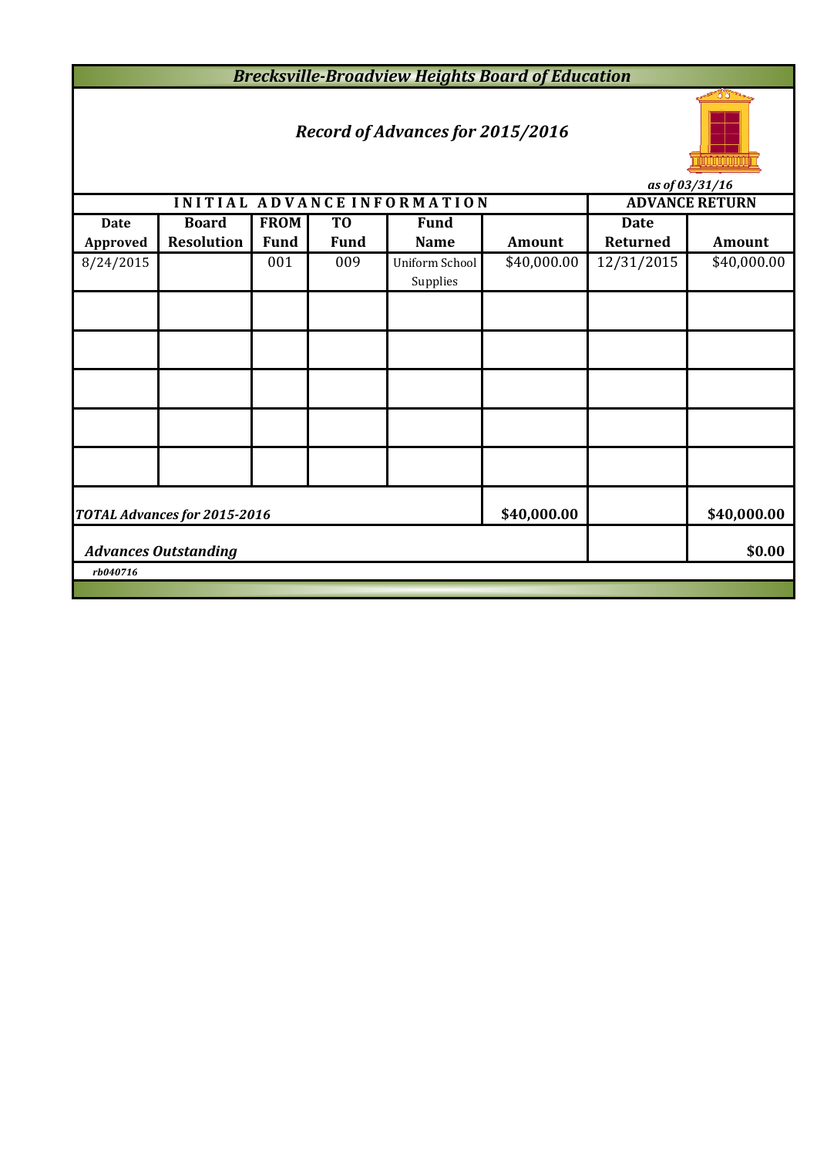*Brecksville-Broadview Heights Board of Education*

# *Record of Advances for 2015/2016*



*as of 03/31/16*

|                             | <i>us vj vs/s1/10</i>        |             |                |                             |               |             |                       |  |  |  |  |  |
|-----------------------------|------------------------------|-------------|----------------|-----------------------------|---------------|-------------|-----------------------|--|--|--|--|--|
|                             |                              |             |                | INITIAL ADVANCE INFORMATION |               |             | <b>ADVANCE RETURN</b> |  |  |  |  |  |
| <b>Date</b>                 | <b>Board</b>                 | <b>FROM</b> | T <sub>0</sub> | <b>Fund</b>                 |               | <b>Date</b> |                       |  |  |  |  |  |
| <b>Approved</b>             | <b>Resolution</b>            | <b>Fund</b> | <b>Fund</b>    | <b>Name</b>                 | <b>Amount</b> | Returned    | <b>Amount</b>         |  |  |  |  |  |
| 8/24/2015                   |                              | 001         | 009            | Uniform School<br>Supplies  | \$40,000.00   | 12/31/2015  | \$40,000.00           |  |  |  |  |  |
|                             |                              |             |                |                             |               |             |                       |  |  |  |  |  |
|                             |                              |             |                |                             |               |             |                       |  |  |  |  |  |
|                             |                              |             |                |                             |               |             |                       |  |  |  |  |  |
|                             |                              |             |                |                             |               |             |                       |  |  |  |  |  |
|                             |                              |             |                |                             |               |             |                       |  |  |  |  |  |
|                             | TOTAL Advances for 2015-2016 | \$40,000.00 |                | \$40,000.00                 |               |             |                       |  |  |  |  |  |
| <b>Advances Outstanding</b> |                              |             |                |                             |               |             |                       |  |  |  |  |  |
| rb040716                    |                              |             |                |                             |               |             |                       |  |  |  |  |  |
|                             |                              |             |                |                             |               |             |                       |  |  |  |  |  |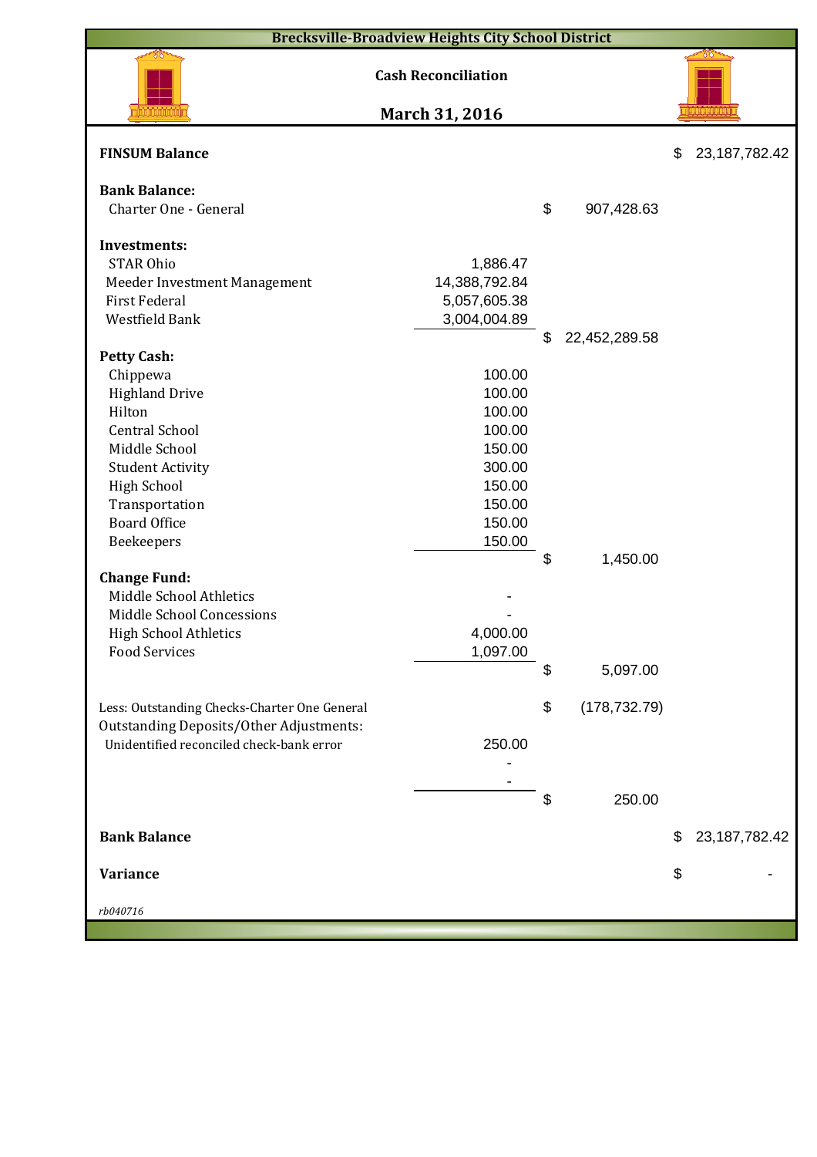| <b>Brecksville-Broadview Heights City School District</b>                                  |                            |    |               |    |                  |  |  |  |  |  |
|--------------------------------------------------------------------------------------------|----------------------------|----|---------------|----|------------------|--|--|--|--|--|
|                                                                                            | <b>Cash Reconciliation</b> |    |               |    |                  |  |  |  |  |  |
|                                                                                            | March 31, 2016             |    |               |    |                  |  |  |  |  |  |
| <b>FINSUM Balance</b>                                                                      |                            |    |               | \$ | 23, 187, 782. 42 |  |  |  |  |  |
| <b>Bank Balance:</b><br>Charter One - General                                              |                            | \$ | 907,428.63    |    |                  |  |  |  |  |  |
|                                                                                            |                            |    |               |    |                  |  |  |  |  |  |
| <b>Investments:</b>                                                                        |                            |    |               |    |                  |  |  |  |  |  |
| <b>STAR Ohio</b>                                                                           | 1,886.47                   |    |               |    |                  |  |  |  |  |  |
| Meeder Investment Management                                                               | 14,388,792.84              |    |               |    |                  |  |  |  |  |  |
| <b>First Federal</b>                                                                       | 5,057,605.38               |    |               |    |                  |  |  |  |  |  |
| Westfield Bank                                                                             | 3,004,004.89               |    |               |    |                  |  |  |  |  |  |
| <b>Petty Cash:</b>                                                                         |                            | \$ | 22,452,289.58 |    |                  |  |  |  |  |  |
| Chippewa                                                                                   | 100.00                     |    |               |    |                  |  |  |  |  |  |
| <b>Highland Drive</b>                                                                      | 100.00                     |    |               |    |                  |  |  |  |  |  |
| Hilton                                                                                     | 100.00                     |    |               |    |                  |  |  |  |  |  |
| <b>Central School</b>                                                                      | 100.00                     |    |               |    |                  |  |  |  |  |  |
| Middle School                                                                              | 150.00                     |    |               |    |                  |  |  |  |  |  |
| <b>Student Activity</b>                                                                    | 300.00                     |    |               |    |                  |  |  |  |  |  |
| <b>High School</b>                                                                         | 150.00                     |    |               |    |                  |  |  |  |  |  |
| Transportation                                                                             | 150.00                     |    |               |    |                  |  |  |  |  |  |
| <b>Board Office</b>                                                                        | 150.00                     |    |               |    |                  |  |  |  |  |  |
| Beekeepers                                                                                 | 150.00                     |    |               |    |                  |  |  |  |  |  |
|                                                                                            |                            | \$ | 1,450.00      |    |                  |  |  |  |  |  |
| <b>Change Fund:</b>                                                                        |                            |    |               |    |                  |  |  |  |  |  |
| Middle School Athletics                                                                    |                            |    |               |    |                  |  |  |  |  |  |
| Middle School Concessions                                                                  |                            |    |               |    |                  |  |  |  |  |  |
| <b>High School Athletics</b>                                                               | 4,000.00                   |    |               |    |                  |  |  |  |  |  |
| <b>Food Services</b>                                                                       | 1,097.00                   |    |               |    |                  |  |  |  |  |  |
|                                                                                            |                            | S  | 5,097.00      |    |                  |  |  |  |  |  |
|                                                                                            |                            |    |               |    |                  |  |  |  |  |  |
| Less: Outstanding Checks-Charter One General                                               |                            | \$ | (178, 732.79) |    |                  |  |  |  |  |  |
| <b>Outstanding Deposits/Other Adjustments:</b><br>Unidentified reconciled check-bank error | 250.00                     |    |               |    |                  |  |  |  |  |  |
|                                                                                            |                            |    |               |    |                  |  |  |  |  |  |
|                                                                                            |                            |    |               |    |                  |  |  |  |  |  |
|                                                                                            |                            | \$ | 250.00        |    |                  |  |  |  |  |  |
|                                                                                            |                            |    |               |    |                  |  |  |  |  |  |
| <b>Bank Balance</b>                                                                        |                            |    |               | \$ | 23, 187, 782. 42 |  |  |  |  |  |
| Variance                                                                                   |                            |    |               | \$ |                  |  |  |  |  |  |
| rb040716                                                                                   |                            |    |               |    |                  |  |  |  |  |  |
|                                                                                            |                            |    |               |    |                  |  |  |  |  |  |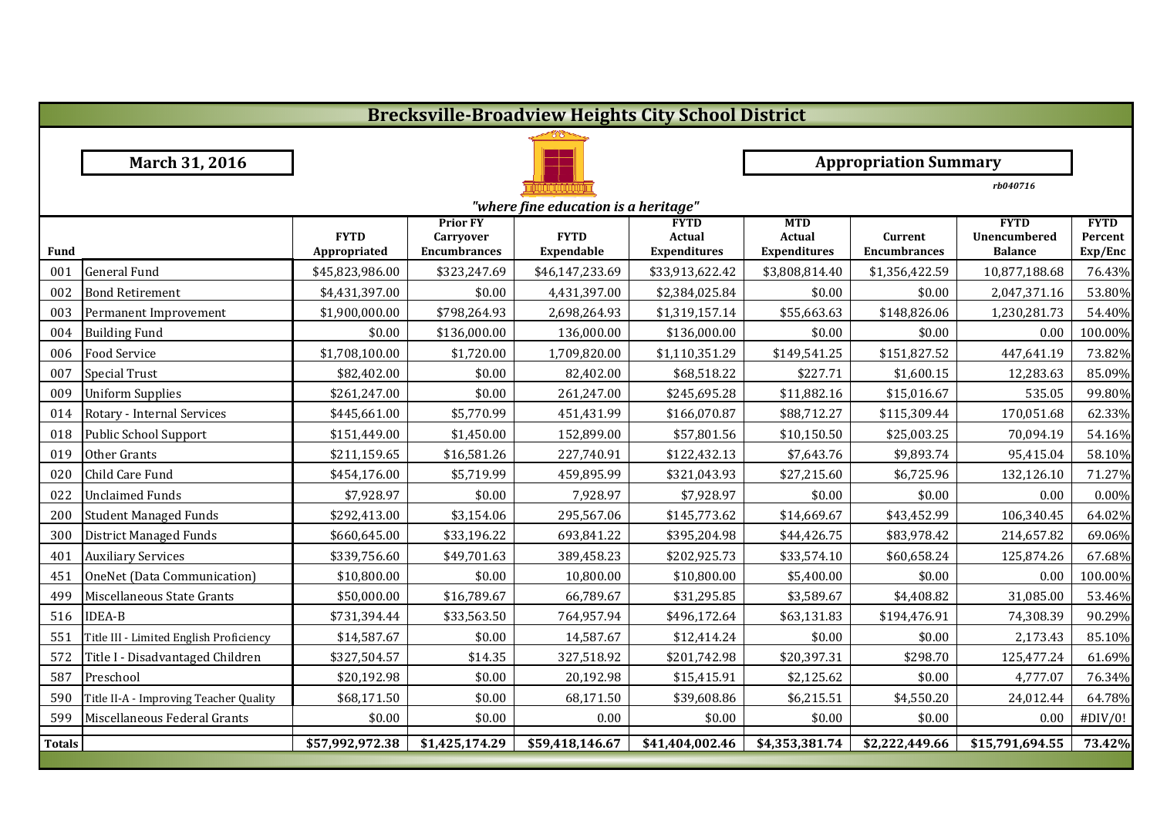|               | <b>Brecksville-Broadview Heights City School District</b> |                             |                                                            |                                  |                                              |                                             |                                |                                               |                                   |  |  |
|---------------|-----------------------------------------------------------|-----------------------------|------------------------------------------------------------|----------------------------------|----------------------------------------------|---------------------------------------------|--------------------------------|-----------------------------------------------|-----------------------------------|--|--|
|               |                                                           |                             |                                                            |                                  |                                              |                                             |                                |                                               |                                   |  |  |
|               | March 31, 2016                                            |                             |                                                            |                                  | <b>Appropriation Summary</b>                 |                                             |                                |                                               |                                   |  |  |
|               |                                                           |                             |                                                            |                                  |                                              |                                             |                                | rb040716                                      |                                   |  |  |
|               | "where fine education is a heritage"                      |                             |                                                            |                                  |                                              |                                             |                                |                                               |                                   |  |  |
| Fund          |                                                           | <b>FYTD</b><br>Appropriated | <b>Prior FY</b><br><b>Carryover</b><br><b>Encumbrances</b> | <b>FYTD</b><br><b>Expendable</b> | <b>FYTD</b><br>Actual<br><b>Expenditures</b> | <b>MTD</b><br>Actual<br><b>Expenditures</b> | Current<br><b>Encumbrances</b> | <b>FYTD</b><br>Unencumbered<br><b>Balance</b> | <b>FYTD</b><br>Percent<br>Exp/Enc |  |  |
| 001           | <b>General Fund</b>                                       | \$45,823,986.00             | \$323,247.69                                               | \$46,147,233.69                  | \$33,913,622.42                              | \$3,808,814.40                              | \$1,356,422.59                 | 10,877,188.68                                 | 76.43%                            |  |  |
| 002           | <b>Bond Retirement</b>                                    | \$4,431,397.00              | \$0.00                                                     | 4,431,397.00                     | \$2,384,025.84                               | \$0.00                                      | \$0.00                         | 2,047,371.16                                  | 53.80%                            |  |  |
| 003           | Permanent Improvement                                     | \$1,900,000.00              | \$798,264.93                                               | 2,698,264.93                     | \$1,319,157.14                               | \$55,663.63                                 | \$148,826.06                   | 1,230,281.73                                  | 54.40%                            |  |  |
| 004           | <b>Building Fund</b>                                      | \$0.00                      | \$136,000.00                                               | 136,000.00                       | \$136,000.00                                 | \$0.00                                      | \$0.00                         | 0.00                                          | 100.00%                           |  |  |
| 006           | <b>Food Service</b>                                       | \$1,708,100.00              | \$1,720.00                                                 | 1,709,820.00                     | \$1,110,351.29                               | \$149,541.25                                | \$151,827.52                   | 447,641.19                                    | 73.82%                            |  |  |
| 007           | <b>Special Trust</b>                                      | \$82,402.00                 | \$0.00                                                     | 82,402.00                        | \$68,518.22                                  | \$227.71                                    | \$1,600.15                     | 12,283.63                                     | 85.09%                            |  |  |
| 009           | <b>Uniform Supplies</b>                                   | \$261,247.00                | \$0.00                                                     | 261,247.00                       | \$245,695.28                                 | \$11,882.16                                 | \$15,016.67                    | 535.05                                        | 99.80%                            |  |  |
| 014           | Rotary - Internal Services                                | \$445,661.00                | \$5,770.99                                                 | 451,431.99                       | \$166,070.87                                 | \$88,712.27                                 | \$115,309.44                   | 170,051.68                                    | 62.33%                            |  |  |
| 018           | Public School Support                                     | \$151,449.00                | \$1,450.00                                                 | 152,899.00                       | \$57,801.56                                  | \$10,150.50                                 | \$25,003.25                    | 70,094.19                                     | 54.16%                            |  |  |
| 019           | Other Grants                                              | \$211,159.65                | \$16,581.26                                                | 227,740.91                       | \$122,432.13                                 | \$7,643.76                                  | \$9,893.74                     | 95,415.04                                     | 58.10%                            |  |  |
| 020           | Child Care Fund                                           | \$454,176.00                | \$5,719.99                                                 | 459,895.99                       | \$321,043.93                                 | \$27,215.60                                 | \$6,725.96                     | 132,126.10                                    | 71.27%                            |  |  |
| 022           | <b>Unclaimed Funds</b>                                    | \$7,928.97                  | \$0.00                                                     | 7,928.97                         | \$7,928.97                                   | \$0.00                                      | \$0.00                         | 0.00                                          | 0.00%                             |  |  |
| 200           | <b>Student Managed Funds</b>                              | \$292,413.00                | \$3,154.06                                                 | 295,567.06                       | \$145,773.62                                 | \$14,669.67                                 | \$43,452.99                    | 106,340.45                                    | 64.02%                            |  |  |
| 300           | <b>District Managed Funds</b>                             | \$660,645.00                | \$33,196.22                                                | 693,841.22                       | \$395,204.98                                 | \$44,426.75                                 | \$83,978.42                    | 214,657.82                                    | 69.06%                            |  |  |
| 401           | <b>Auxiliary Services</b>                                 | \$339,756.60                | \$49,701.63                                                | 389,458.23                       | \$202,925.73                                 | \$33,574.10                                 | \$60,658.24                    | 125,874.26                                    | 67.68%                            |  |  |
| 451           | OneNet (Data Communication)                               | \$10,800.00                 | \$0.00                                                     | 10,800.00                        | \$10,800.00                                  | \$5,400.00                                  | \$0.00                         | 0.00                                          | 100.00%                           |  |  |
| 499           | Miscellaneous State Grants                                | \$50,000.00                 | \$16,789.67                                                | 66,789.67                        | \$31,295.85                                  | \$3,589.67                                  | \$4,408.82                     | 31,085.00                                     | 53.46%                            |  |  |
| 516           | <b>IDEA-B</b>                                             | \$731,394.44                | \$33,563.50                                                | 764,957.94                       | \$496,172.64                                 | \$63,131.83                                 | \$194,476.91                   | 74,308.39                                     | 90.29%                            |  |  |
| 551           | Title III - Limited English Proficiency                   | \$14,587.67                 | \$0.00                                                     | 14,587.67                        | \$12,414.24                                  | \$0.00                                      | \$0.00                         | 2,173.43                                      | 85.10%                            |  |  |
| 572           | Title I - Disadvantaged Children                          | \$327,504.57                | \$14.35                                                    | 327,518.92                       | \$201,742.98                                 | \$20,397.31                                 | \$298.70                       | 125,477.24                                    | 61.69%                            |  |  |
| 587           | Preschool                                                 | \$20,192.98                 | \$0.00                                                     | 20,192.98                        | \$15,415.91                                  | \$2,125.62                                  | \$0.00                         | 4,777.07                                      | 76.34%                            |  |  |
| 590           | Title II-A - Improving Teacher Quality                    | \$68,171.50                 | \$0.00                                                     | 68,171.50                        | \$39,608.86                                  | \$6,215.51                                  | \$4,550.20                     | 24,012.44                                     | 64.78%                            |  |  |
| 599           | Miscellaneous Federal Grants                              | \$0.00                      | \$0.00                                                     | 0.00                             | \$0.00                                       | \$0.00                                      | \$0.00                         | 0.00                                          | #DIV/0!                           |  |  |
| <b>Totals</b> |                                                           | \$57,992,972.38             | \$1,425,174.29                                             | \$59,418,146.67                  | \$41,404,002.46                              | \$4,353,381.74                              | \$2,222,449.66                 | \$15,791,694.55                               | 73.42%                            |  |  |